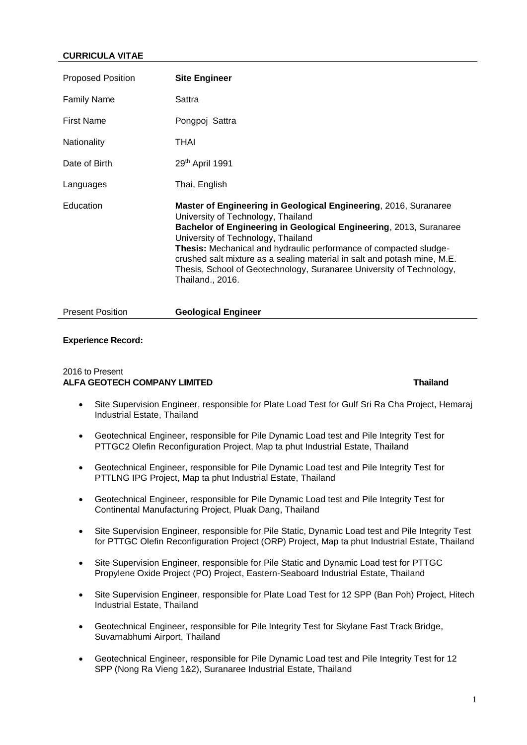## **CURRICULA VITAE**

| <b>Proposed Position</b> | <b>Site Engineer</b>                                                                                                                                                                                                                                                                                                                                                                                                                                            |
|--------------------------|-----------------------------------------------------------------------------------------------------------------------------------------------------------------------------------------------------------------------------------------------------------------------------------------------------------------------------------------------------------------------------------------------------------------------------------------------------------------|
| <b>Family Name</b>       | Sattra                                                                                                                                                                                                                                                                                                                                                                                                                                                          |
| <b>First Name</b>        | Pongpoj Sattra                                                                                                                                                                                                                                                                                                                                                                                                                                                  |
| Nationality              | THAI                                                                                                                                                                                                                                                                                                                                                                                                                                                            |
| Date of Birth            | 29th April 1991                                                                                                                                                                                                                                                                                                                                                                                                                                                 |
| Languages                | Thai, English                                                                                                                                                                                                                                                                                                                                                                                                                                                   |
| Education                | Master of Engineering in Geological Engineering, 2016, Suranaree<br>University of Technology, Thailand<br>Bachelor of Engineering in Geological Engineering, 2013, Suranaree<br>University of Technology, Thailand<br>Thesis: Mechanical and hydraulic performance of compacted sludge-<br>crushed salt mixture as a sealing material in salt and potash mine, M.E.<br>Thesis, School of Geotechnology, Suranaree University of Technology,<br>Thailand., 2016. |
| <b>Present Position</b>  | <b>Geological Engineer</b>                                                                                                                                                                                                                                                                                                                                                                                                                                      |

### **Experience Record:**

### 2016 to Present **ALFA GEOTECH COMPANY LIMITED Thailand**

- Site Supervision Engineer, responsible for Plate Load Test for Gulf Sri Ra Cha Project, Hemaraj Industrial Estate, Thailand
- Geotechnical Engineer, responsible for Pile Dynamic Load test and Pile Integrity Test for PTTGC2 Olefin Reconfiguration Project, Map ta phut Industrial Estate, Thailand
- Geotechnical Engineer, responsible for Pile Dynamic Load test and Pile Integrity Test for PTTLNG IPG Project, Map ta phut Industrial Estate, Thailand
- Geotechnical Engineer, responsible for Pile Dynamic Load test and Pile Integrity Test for Continental Manufacturing Project, Pluak Dang, Thailand
- Site Supervision Engineer, responsible for Pile Static, Dynamic Load test and Pile Integrity Test for PTTGC Olefin Reconfiguration Project (ORP) Project, Map ta phut Industrial Estate, Thailand
- Site Supervision Engineer, responsible for Pile Static and Dynamic Load test for PTTGC Propylene Oxide Project (PO) Project, Eastern-Seaboard Industrial Estate, Thailand
- Site Supervision Engineer, responsible for Plate Load Test for 12 SPP (Ban Poh) Project, Hitech Industrial Estate, Thailand
- Geotechnical Engineer, responsible for Pile Integrity Test for Skylane Fast Track Bridge, Suvarnabhumi Airport, Thailand
- Geotechnical Engineer, responsible for Pile Dynamic Load test and Pile Integrity Test for 12 SPP (Nong Ra Vieng 1&2), Suranaree Industrial Estate, Thailand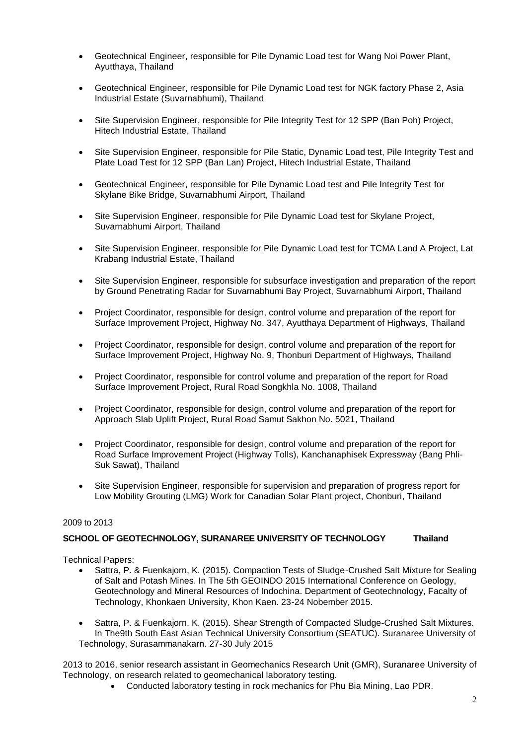- Geotechnical Engineer, responsible for Pile Dynamic Load test for Wang Noi Power Plant, Ayutthaya, Thailand
- Geotechnical Engineer, responsible for Pile Dynamic Load test for NGK factory Phase 2, Asia Industrial Estate (Suvarnabhumi), Thailand
- Site Supervision Engineer, responsible for Pile Integrity Test for 12 SPP (Ban Poh) Project, Hitech Industrial Estate, Thailand
- Site Supervision Engineer, responsible for Pile Static, Dynamic Load test, Pile Integrity Test and Plate Load Test for 12 SPP (Ban Lan) Project, Hitech Industrial Estate, Thailand
- Geotechnical Engineer, responsible for Pile Dynamic Load test and Pile Integrity Test for Skylane Bike Bridge, Suvarnabhumi Airport, Thailand
- Site Supervision Engineer, responsible for Pile Dynamic Load test for Skylane Project, Suvarnabhumi Airport, Thailand
- Site Supervision Engineer, responsible for Pile Dynamic Load test for TCMA Land A Project, Lat Krabang Industrial Estate, Thailand
- Site Supervision Engineer, responsible for subsurface investigation and preparation of the report by Ground Penetrating Radar for Suvarnabhumi Bay Project, Suvarnabhumi Airport, Thailand
- Project Coordinator, responsible for design, control volume and preparation of the report for Surface Improvement Project, Highway No. 347, Ayutthaya Department of Highways, Thailand
- Project Coordinator, responsible for design, control volume and preparation of the report for Surface Improvement Project, Highway No. 9, Thonburi Department of Highways, Thailand
- Project Coordinator, responsible for control volume and preparation of the report for Road Surface Improvement Project, Rural Road Songkhla No. 1008, Thailand
- Project Coordinator, responsible for design, control volume and preparation of the report for Approach Slab Uplift Project, Rural Road Samut Sakhon No. 5021, Thailand
- Project Coordinator, responsible for design, control volume and preparation of the report for Road Surface Improvement Project (Highway Tolls), Kanchanaphisek Expressway (Bang Phli-Suk Sawat), Thailand
- Site Supervision Engineer, responsible for supervision and preparation of progress report for Low Mobility Grouting (LMG) Work for Canadian Solar Plant project, Chonburi, Thailand

## 2009 to 2013

## **SCHOOL OF GEOTECHNOLOGY, SURANAREE UNIVERSITY OF TECHNOLOGY Thailand**

Technical Papers:

- Sattra, P. & Fuenkajorn, K. (2015). Compaction Tests of Sludge-Crushed Salt Mixture for Sealing of Salt and Potash Mines. In The 5th GEOINDO 2015 International Conference on Geology, Geotechnology and Mineral Resources of Indochina. Department of Geotechnology, Facalty of Technology, Khonkaen University, Khon Kaen. 23-24 Nobember 2015.
- Sattra, P. & Fuenkajorn, K. (2015). Shear Strength of Compacted Sludge-Crushed Salt Mixtures. In The9th South East Asian Technical University Consortium (SEATUC). Suranaree University of Technology, Surasammanakarn. 27-30 July 2015

2013 to 2016, senior research assistant in Geomechanics Research Unit (GMR), Suranaree University of Technology, on research related to geomechanical laboratory testing.

• Conducted laboratory testing in rock mechanics for Phu Bia Mining, Lao PDR.